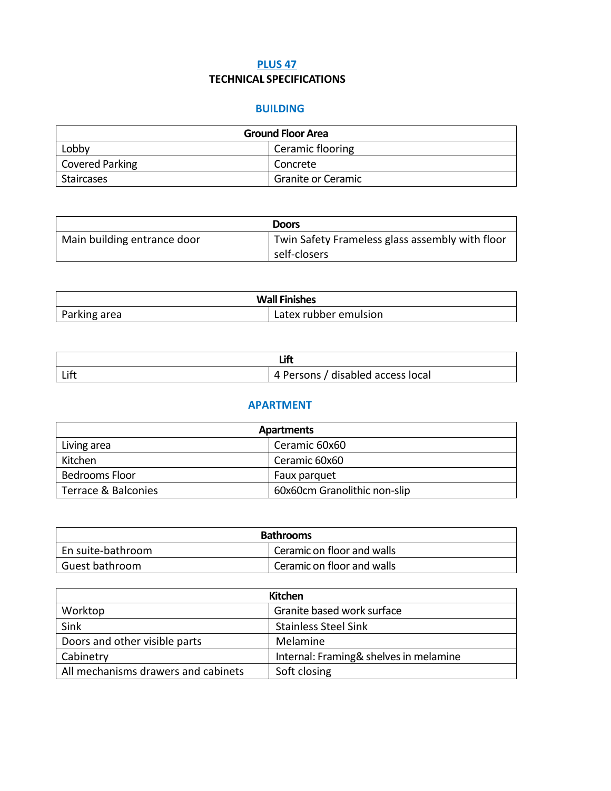## **PLUS 47 TECHNICAL SPECIFICATIONS**

## **BUILDING**

| <b>Ground Floor Area</b> |                    |
|--------------------------|--------------------|
| Lobby                    | Ceramic flooring   |
| Covered Parking          | Concrete           |
| Staircases               | Granite or Ceramic |

|                             | <b>Doors</b>                                    |
|-----------------------------|-------------------------------------------------|
| Main building entrance door | Twin Safety Frameless glass assembly with floor |
|                             | self-closers                                    |

| <b>Wall Finishes</b> |                       |
|----------------------|-----------------------|
| Parking area         | Latex rubber emulsion |

| Lift | 4 Persons / disabled access local |
|------|-----------------------------------|

## **APARTMENT**

| Apartments            |                              |  |
|-----------------------|------------------------------|--|
| Living area           | Ceramic 60x60                |  |
| Kitchen               | Ceramic 60x60                |  |
| <b>Bedrooms Floor</b> | Faux parquet                 |  |
| Terrace & Balconies   | 60x60cm Granolithic non-slip |  |

| <b>Bathrooms</b>  |                            |
|-------------------|----------------------------|
| En suite-bathroom | Ceramic on floor and walls |
| Guest bathroom    | Ceramic on floor and walls |

| Kitchen                             |                                        |
|-------------------------------------|----------------------------------------|
| Worktop                             | Granite based work surface             |
| Sink                                | <b>Stainless Steel Sink</b>            |
| Doors and other visible parts       | Melamine                               |
| Cabinetry                           | Internal: Framing& shelves in melamine |
| All mechanisms drawers and cabinets | Soft closing                           |